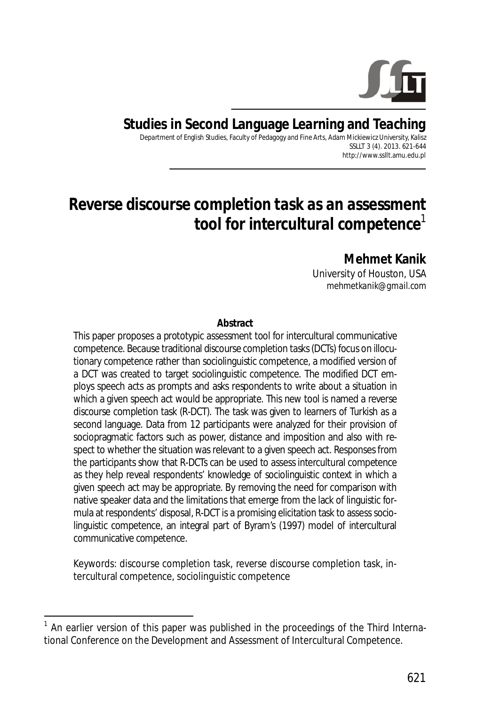

## **Studies in Second Language Learning and Teaching**

Department of English Studies, Faculty of Pedagogy and Fine Arts, Adam Mickiewicz University, Kalisz SSLLT 3 (4). 2013. 621-644 http://www.ssllt.amu.edu.pl

# *Reverse discourse completion task as an assessment tool for intercultural competence*<sup>1</sup>

**Mehmet Kanik**  University of Houston, USA *mehmetkanik@gmail.com* 

#### **Abstract**

This paper proposes a prototypic assessment tool for intercultural communicative competence. Because traditional discourse completion tasks (DCTs) focus on illocutionary competence rather than sociolinguistic competence, a modified version of a DCT was created to target sociolinguistic competence. The modified DCT employs speech acts as prompts and asks respondents to write about a situation in which a given speech act would be appropriate. This new tool is named a reverse discourse completion task (R-DCT). The task was given to learners of Turkish as a second language. Data from 12 participants were analyzed for their provision of sociopragmatic factors such as power, distance and imposition and also with respect to whether the situation was relevant to a given speech act. Responses from the participants show that R-DCTs can be used to assess intercultural competence as they help reveal respondents' knowledge of sociolinguistic context in which a given speech act may be appropriate. By removing the need for comparison with native speaker data and the limitations that emerge from the lack of linguistic formula at respondents' disposal, R-DCT is a promising elicitation task to assess sociolinguistic competence, an integral part of Byram's (1997) model of intercultural communicative competence.

*Keywords*: discourse completion task, reverse discourse completion task, intercultural competence, sociolinguistic competence

 $\overline{a}$ 

<sup>&</sup>lt;sup>1</sup> An earlier version of this paper was published in the proceedings of the Third International Conference on the Development and Assessment of Intercultural Competence.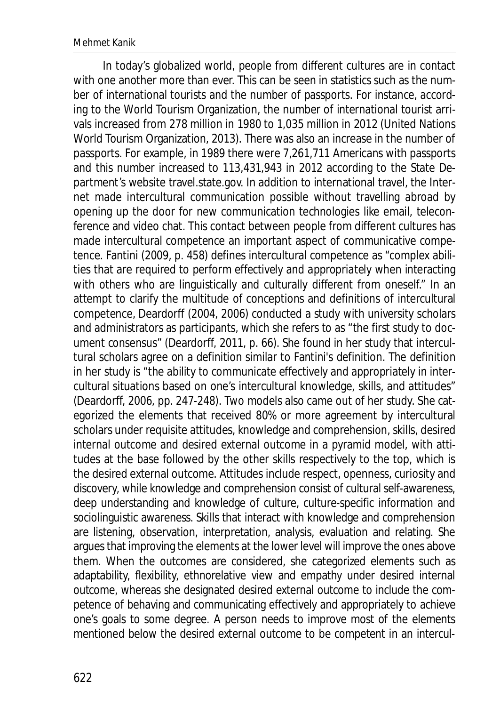In today's globalized world, people from different cultures are in contact with one another more than ever. This can be seen in statistics such as the number of international tourists and the number of passports. For instance, according to the World Tourism Organization, the number of international tourist arrivals increased from 278 million in 1980 to 1,035 million in 2012 (United Nations World Tourism Organization, 2013). There was also an increase in the number of passports. For example, in 1989 there were 7,261,711 Americans with passports and this number increased to 113,431,943 in 2012 according to the State Department's website travel.state.gov. In addition to international travel, the Internet made intercultural communication possible without travelling abroad by opening up the door for new communication technologies like email, teleconference and video chat. This contact between people from different cultures has made intercultural competence an important aspect of communicative competence. Fantini (2009, p. 458) defines intercultural competence as "complex abilities that are required to perform *effectively* and *appropriately* when interacting with others who are linguistically and culturally different from oneself." In an attempt to clarify the multitude of conceptions and definitions of intercultural competence, Deardorff (2004, 2006) conducted a study with university scholars and administrators as participants, which she refers to as "the first study to document consensus" (Deardorff, 2011, p. 66). She found in her study that intercultural scholars agree on a definition similar to Fantini's definition. The definition in her study is "the ability to communicate effectively and appropriately in intercultural situations based on one's intercultural knowledge, skills, and attitudes" (Deardorff, 2006, pp. 247-248). Two models also came out of her study. She categorized the elements that received 80% or more agreement by intercultural scholars under requisite attitudes, knowledge and comprehension, skills, desired internal outcome and desired external outcome in a pyramid model, with attitudes at the base followed by the other skills respectively to the top, which is the desired external outcome. Attitudes include respect, openness, curiosity and discovery, while knowledge and comprehension consist of cultural self-awareness, deep understanding and knowledge of culture, culture-specific information and sociolinguistic awareness. Skills that interact with knowledge and comprehension are listening, observation, interpretation, analysis, evaluation and relating. She argues that improving the elements at the lower level will improve the ones above them. When the outcomes are considered, she categorized elements such as adaptability, flexibility, ethnorelative view and empathy under desired internal outcome, whereas she designated desired external outcome to include the competence of behaving and communicating effectively and appropriately to achieve one's goals to some degree. A person needs to improve most of the elements mentioned below the desired external outcome to be competent in an intercul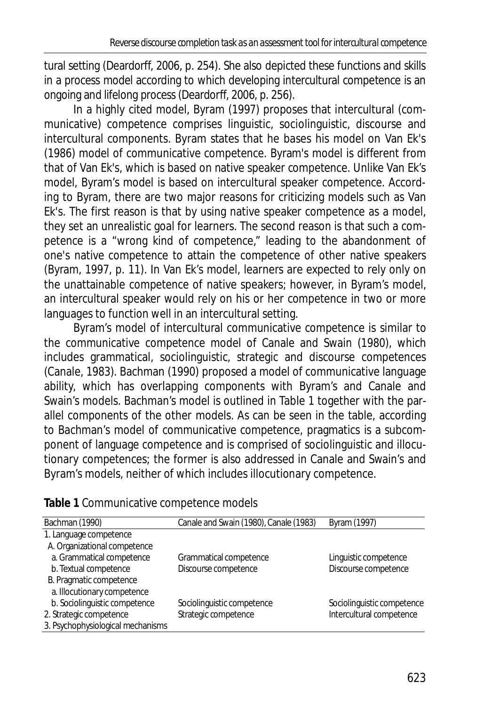tural setting (Deardorff, 2006, p. 254). She also depicted these functions and skills in a process model according to which developing intercultural competence is an ongoing and lifelong process (Deardorff, 2006, p. 256).

In a highly cited model, Byram (1997) proposes that intercultural (communicative) competence comprises linguistic, sociolinguistic, discourse and intercultural components. Byram states that he bases his model on Van Ek's (1986) model of communicative competence. Byram's model is different from that of Van Ek's, which is based on native speaker competence. Unlike Van Ek's model, Byram's model is based on intercultural speaker competence. According to Byram, there are two major reasons for criticizing models such as Van Ek's. The first reason is that by using native speaker competence as a model, they set an unrealistic goal for learners. The second reason is that such a competence is a "wrong kind of competence," leading to the abandonment of one's native competence to attain the competence of other native speakers (Byram, 1997, p. 11). In Van Ek's model, learners are expected to rely only on the unattainable competence of native speakers; however, in Byram's model, an intercultural speaker would rely on his or her competence in two or more languages to function well in an intercultural setting.

Byram's model of intercultural communicative competence is similar to the communicative competence model of Canale and Swain (1980), which includes grammatical, sociolinguistic, strategic and discourse competences (Canale, 1983). Bachman (1990) proposed a model of communicative language ability, which has overlapping components with Byram's and Canale and Swain's models. Bachman's model is outlined in Table 1 together with the parallel components of the other models. As can be seen in the table, according to Bachman's model of communicative competence, pragmatics is a subcomponent of language competence and is comprised of sociolinguistic and illocutionary competences; the former is also addressed in Canale and Swain's and Byram's models, neither of which includes illocutionary competence.

| Bachman (1990)                    | Canale and Swain (1980), Canale (1983) | Byram (1997)               |
|-----------------------------------|----------------------------------------|----------------------------|
| 1. Language competence            |                                        |                            |
| A. Organizational competence      |                                        |                            |
| a. Grammatical competence         | Grammatical competence                 | Linguistic competence      |
| b. Textual competence             | Discourse competence                   | Discourse competence       |
| B. Pragmatic competence           |                                        |                            |
| a. Illocutionary competence       |                                        |                            |
| b. Sociolinguistic competence     | Sociolinguistic competence             | Sociolinguistic competence |
| 2. Strategic competence           | Strategic competence                   | Intercultural competence   |
| 3. Psychophysiological mechanisms |                                        |                            |

**Table 1** Communicative competence models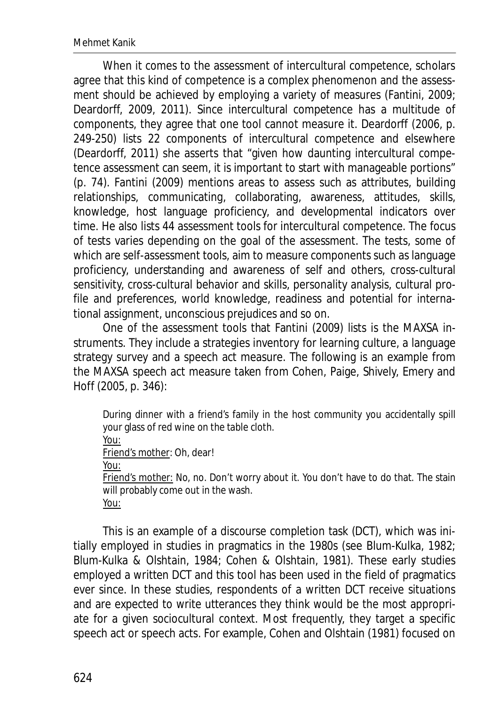When it comes to the assessment of intercultural competence, scholars agree that this kind of competence is a complex phenomenon and the assessment should be achieved by employing a variety of measures (Fantini, 2009; Deardorff, 2009, 2011). Since intercultural competence has a multitude of components, they agree that one tool cannot measure it. Deardorff (2006, p. 249-250) lists 22 components of intercultural competence and elsewhere (Deardorff, 2011) she asserts that "given how daunting intercultural competence assessment can seem, it is important to start with manageable portions" (p. 74). Fantini (2009) mentions areas to assess such as attributes, building relationships, communicating, collaborating, awareness, attitudes, skills, knowledge, host language proficiency, and developmental indicators over time. He also lists 44 assessment tools for intercultural competence. The focus of tests varies depending on the goal of the assessment. The tests, some of which are self-assessment tools, aim to measure components such as language proficiency, understanding and awareness of self and others, cross-cultural sensitivity, cross-cultural behavior and skills, personality analysis, cultural profile and preferences, world knowledge, readiness and potential for international assignment, unconscious prejudices and so on.

One of the assessment tools that Fantini (2009) lists is the MAXSA instruments. They include a strategies inventory for learning culture, a language strategy survey and a speech act measure. The following is an example from the MAXSA speech act measure taken from Cohen, Paige, Shively, Emery and Hoff (2005, p. 346):

During dinner with a friend's family in the host community you accidentally spill your glass of red wine on the table cloth. You: Friend's mother: Oh, dear! You: Friend's mother: No, no. Don't worry about it. You don't have to do that. The stain will probably come out in the wash. You:

This is an example of a discourse completion task (DCT), which was initially employed in studies in pragmatics in the 1980s (see Blum-Kulka, 1982; Blum-Kulka & Olshtain, 1984; Cohen & Olshtain, 1981). These early studies employed a written DCT and this tool has been used in the field of pragmatics ever since. In these studies, respondents of a written DCT receive situations and are expected to write utterances they think would be the most appropriate for a given sociocultural context. Most frequently, they target a specific speech act or speech acts. For example, Cohen and Olshtain (1981) focused on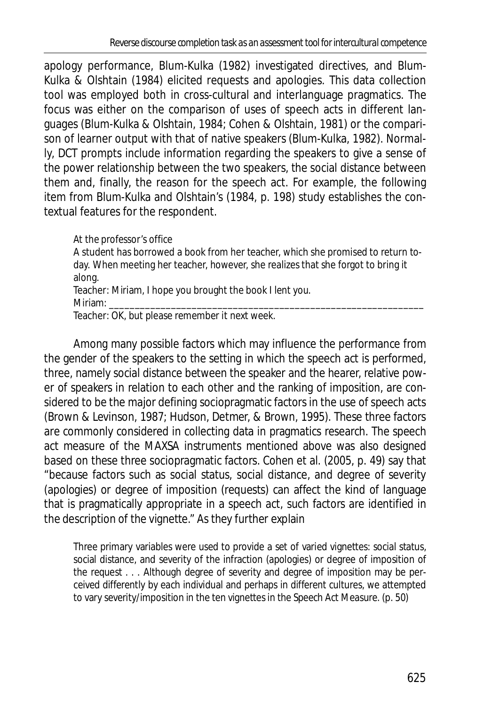apology performance, Blum-Kulka (1982) investigated directives, and Blum-Kulka & Olshtain (1984) elicited requests and apologies. This data collection tool was employed both in cross-cultural and interlanguage pragmatics. The focus was either on the comparison of uses of speech acts in different languages (Blum-Kulka & Olshtain, 1984; Cohen & Olshtain, 1981) or the comparison of learner output with that of native speakers (Blum-Kulka, 1982). Normally, DCT prompts include information regarding the speakers to give a sense of the power relationship between the two speakers, the social distance between them and, finally, the reason for the speech act. For example, the following item from Blum-Kulka and Olshtain's (1984, p. 198) study establishes the contextual features for the respondent.

#### *At the professor's office*

A student has borrowed a book from her teacher, which she promised to return today. When meeting her teacher, however, she realizes that she forgot to bring it along. Teacher: Miriam, I hope you brought the book I lent you.

Miriam: \_\_\_\_\_\_\_\_\_\_\_\_\_\_\_\_\_\_\_\_\_\_\_\_\_\_\_\_\_\_\_\_\_\_\_\_\_\_\_\_\_\_\_\_\_\_\_\_\_\_\_\_\_\_\_\_\_\_\_\_\_

Teacher: OK, but please remember it next week.

Among many possible factors which may influence the performance from the gender of the speakers to the setting in which the speech act is performed, three, namely social distance between the speaker and the hearer, relative power of speakers in relation to each other and the ranking of imposition, are considered to be the major defining sociopragmatic factors in the use of speech acts (Brown & Levinson, 1987; Hudson, Detmer, & Brown, 1995). These three factors are commonly considered in collecting data in pragmatics research. The speech act measure of the MAXSA instruments mentioned above was also designed based on these three sociopragmatic factors. Cohen et al. (2005, p. 49) say that "because factors such as social status, social distance, and degree of severity (apologies) or degree of imposition (requests) can affect the kind of language that is pragmatically appropriate in a speech act, such factors are identified in the description of the vignette." As they further explain

Three primary variables were used to provide a set of varied vignettes: social status, social distance, and severity of the infraction (apologies) or degree of imposition of the request . . . Although degree of severity and degree of imposition may be perceived differently by each individual and perhaps in different cultures, we attempted to vary severity/imposition in the ten vignettes in the Speech Act Measure. (p. 50)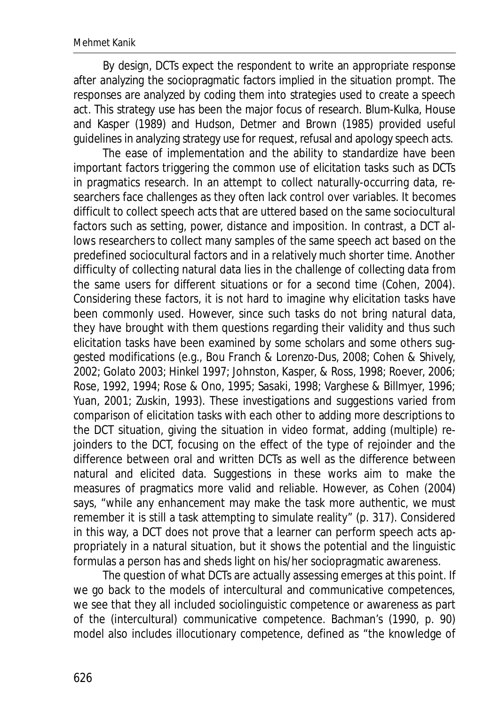By design, DCTs expect the respondent to write an appropriate response after analyzing the sociopragmatic factors implied in the situation prompt. The responses are analyzed by coding them into strategies used to create a speech act. This strategy use has been the major focus of research. Blum-Kulka, House and Kasper (1989) and Hudson, Detmer and Brown (1985) provided useful guidelines in analyzing strategy use for request, refusal and apology speech acts.

The ease of implementation and the ability to standardize have been important factors triggering the common use of elicitation tasks such as DCTs in pragmatics research. In an attempt to collect naturally-occurring data, researchers face challenges as they often lack control over variables. It becomes difficult to collect speech acts that are uttered based on the same sociocultural factors such as setting, power, distance and imposition. In contrast, a DCT allows researchers to collect many samples of the same speech act based on the predefined sociocultural factors and in a relatively much shorter time. Another difficulty of collecting natural data lies in the challenge of collecting data from the same users for different situations or for a second time (Cohen, 2004). Considering these factors, it is not hard to imagine why elicitation tasks have been commonly used. However, since such tasks do not bring natural data, they have brought with them questions regarding their validity and thus such elicitation tasks have been examined by some scholars and some others suggested modifications (e.g., Bou Franch & Lorenzo-Dus, 2008; Cohen & Shively, 2002; Golato 2003; Hinkel 1997; Johnston, Kasper, & Ross, 1998; Roever, 2006; Rose, 1992, 1994; Rose & Ono, 1995; Sasaki, 1998; Varghese & Billmyer, 1996; Yuan, 2001; Zuskin, 1993). These investigations and suggestions varied from comparison of elicitation tasks with each other to adding more descriptions to the DCT situation, giving the situation in video format, adding (multiple) rejoinders to the DCT, focusing on the effect of the type of rejoinder and the difference between oral and written DCTs as well as the difference between natural and elicited data. Suggestions in these works aim to make the measures of pragmatics more valid and reliable. However, as Cohen (2004) says, "while any enhancement may make the task more authentic, we must remember it is still a task attempting to simulate reality" (p. 317). Considered in this way, a DCT does not prove that a learner can perform speech acts appropriately in a natural situation, but it shows the potential and the linguistic formulas a person has and sheds light on his/her sociopragmatic awareness.

The question of what DCTs are actually assessing emerges at this point. If we go back to the models of intercultural and communicative competences, we see that they all included sociolinguistic competence or awareness as part of the (intercultural) communicative competence. Bachman's (1990, p. 90) model also includes illocutionary competence, defined as "the knowledge of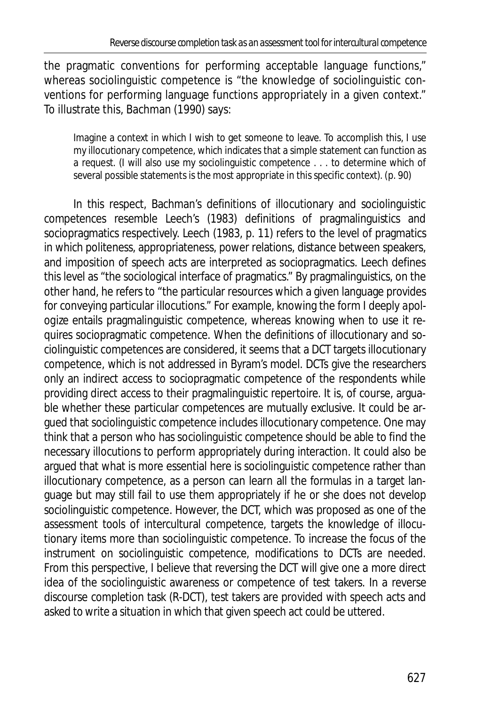the pragmatic conventions for performing acceptable language functions," whereas sociolinguistic competence is "the knowledge of sociolinguistic conventions for performing language functions appropriately in a given context." To illustrate this, Bachman (1990) says:

Imagine a context in which I wish to get someone to leave. To accomplish this, I use my illocutionary competence, which indicates that a simple statement can function as a request. (I will also use my sociolinguistic competence . . . to determine which of several possible statements is the most appropriate in this specific context). (p. 90)

In this respect, Bachman's definitions of illocutionary and sociolinguistic competences resemble Leech's (1983) definitions of pragmalinguistics and sociopragmatics respectively. Leech (1983, p. 11) refers to the level of pragmatics in which politeness, appropriateness, power relations, distance between speakers, and imposition of speech acts are interpreted as sociopragmatics. Leech defines this level as "the sociological interface of pragmatics." By pragmalinguistics, on the other hand, he refers to "the particular resources which a given language provides for conveying particular illocutions." For example, knowing the form *I deeply apologize* entails pragmalinguistic competence, whereas knowing when to use it requires sociopragmatic competence. When the definitions of illocutionary and sociolinguistic competences are considered, it seems that a DCT targets illocutionary competence, which is not addressed in Byram's model. DCTs give the researchers only an indirect access to sociopragmatic competence of the respondents while providing direct access to their pragmalinguistic repertoire. It is, of course, arguable whether these particular competences are mutually exclusive. It could be argued that sociolinguistic competence includes illocutionary competence. One may think that a person who has sociolinguistic competence should be able to find the necessary illocutions to perform appropriately during interaction. It could also be argued that what is more essential here is sociolinguistic competence rather than illocutionary competence, as a person can learn all the formulas in a target language but may still fail to use them appropriately if he or she does not develop sociolinguistic competence. However, the DCT, which was proposed as one of the assessment tools of intercultural competence, targets the knowledge of illocutionary items more than sociolinguistic competence. To increase the focus of the instrument on sociolinguistic competence, modifications to DCTs are needed. From this perspective, I believe that reversing the DCT will give one a more direct idea of the sociolinguistic awareness or competence of test takers. In a reverse discourse completion task (R-DCT), test takers are provided with speech acts and asked to write a situation in which that given speech act could be uttered.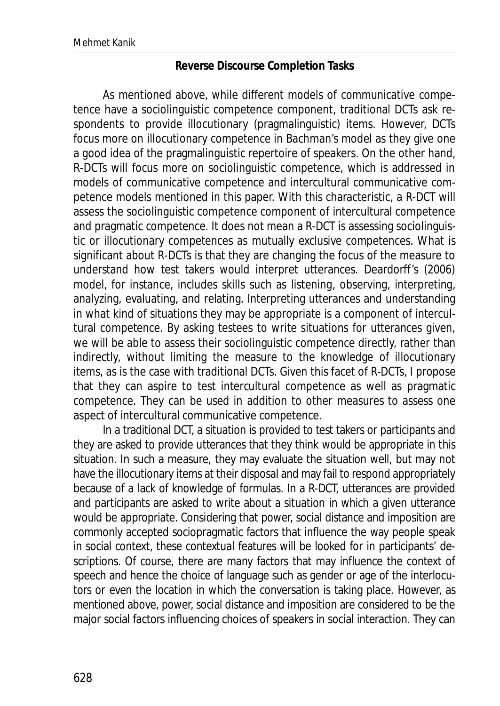#### **Reverse Discourse Completion Tasks**

As mentioned above, while different models of communicative competence have a sociolinguistic competence component, traditional DCTs ask respondents to provide illocutionary (pragmalinguistic) items. However, DCTs focus more on illocutionary competence in Bachman's model as they give one a good idea of the pragmalinguistic repertoire of speakers. On the other hand, R-DCTs will focus more on sociolinguistic competence, which is addressed in models of communicative competence and intercultural communicative competence models mentioned in this paper. With this characteristic, a R-DCT will assess the sociolinguistic competence component of intercultural competence and pragmatic competence. It does not mean a R-DCT is assessing sociolinguistic or illocutionary competences as mutually exclusive competences. What is significant about R-DCTs is that they are changing the focus of the measure to understand how test takers would interpret utterances. Deardorff's (2006) model, for instance, includes skills such as listening, observing, interpreting, analyzing, evaluating, and relating. Interpreting utterances and understanding in what kind of situations they may be appropriate is a component of intercultural competence. By asking testees to write situations for utterances given, we will be able to assess their sociolinguistic competence directly, rather than indirectly, without limiting the measure to the knowledge of illocutionary items, as is the case with traditional DCTs. Given this facet of R-DCTs, I propose that they can aspire to test intercultural competence as well as pragmatic competence. They can be used in addition to other measures to assess one aspect of intercultural communicative competence.

In a traditional DCT, a situation is provided to test takers or participants and they are asked to provide utterances that they think would be appropriate in this situation. In such a measure, they may evaluate the situation well, but may not have the illocutionary items at their disposal and may fail to respond appropriately because of a lack of knowledge of formulas. In a R-DCT, utterances are provided and participants are asked to write about a situation in which a given utterance would be appropriate. Considering that power, social distance and imposition are commonly accepted sociopragmatic factors that influence the way people speak in social context, these contextual features will be looked for in participants' descriptions. Of course, there are many factors that may influence the context of speech and hence the choice of language such as gender or age of the interlocutors or even the location in which the conversation is taking place. However, as mentioned above, power, social distance and imposition are considered to be the major social factors influencing choices of speakers in social interaction. They can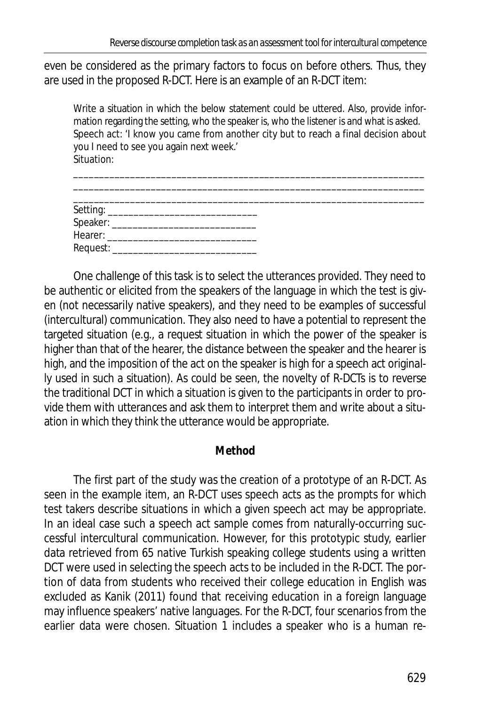even be considered as the primary factors to focus on before others. Thus, they are used in the proposed R-DCT. Here is an example of an R-DCT item:

Write a situation in which the below statement could be uttered. Also, provide information regarding the setting, who the speaker is, who the listener is and what is asked. Speech act: 'I know you came from another city but to reach a final decision about you I need to see you again next week.' Situation:

\_\_\_\_\_\_\_\_\_\_\_\_\_\_\_\_\_\_\_\_\_\_\_\_\_\_\_\_\_\_\_\_\_\_\_\_\_\_\_\_\_\_\_\_\_\_\_\_\_\_\_\_\_\_\_\_\_\_\_\_\_\_\_\_\_\_\_\_

| Request: |  |  |
|----------|--|--|

One challenge of this task is to select the utterances provided. They need to be authentic or elicited from the speakers of the language in which the test is given (not necessarily native speakers), and they need to be examples of successful (intercultural) communication. They also need to have a potential to represent the targeted situation (e.g., a request situation in which the power of the speaker is higher than that of the hearer, the distance between the speaker and the hearer is high, and the imposition of the act on the speaker is high for a speech act originally used in such a situation). As could be seen, the novelty of R-DCTs is to reverse the traditional DCT in which a situation is given to the participants in order to provide them with utterances and ask them to interpret them and write about a situation in which they think the utterance would be appropriate.

## **Method**

The first part of the study was the creation of a prototype of an R-DCT. As seen in the example item, an R-DCT uses speech acts as the prompts for which test takers describe situations in which a given speech act may be appropriate. In an ideal case such a speech act sample comes from naturally-occurring successful intercultural communication. However, for this prototypic study, earlier data retrieved from 65 native Turkish speaking college students using a written DCT were used in selecting the speech acts to be included in the R-DCT. The portion of data from students who received their college education in English was excluded as Kanik (2011) found that receiving education in a foreign language may influence speakers' native languages. For the R-DCT, four scenarios from the earlier data were chosen. Situation 1 includes a speaker who is a human re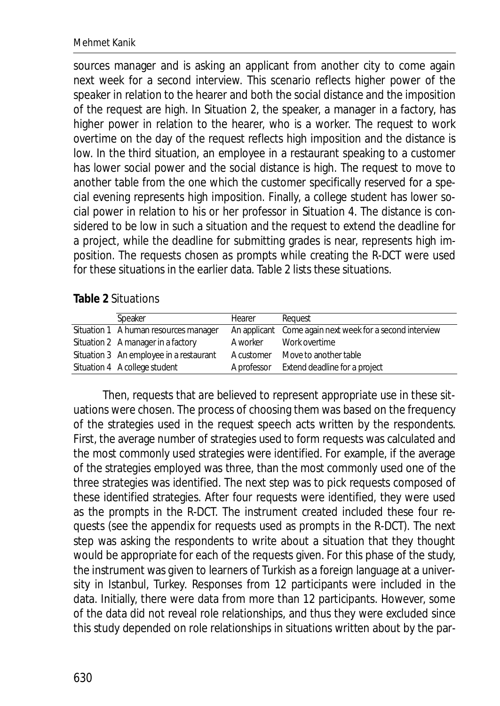sources manager and is asking an applicant from another city to come again next week for a second interview. This scenario reflects higher power of the speaker in relation to the hearer and both the social distance and the imposition of the request are high. In Situation 2, the speaker, a manager in a factory, has higher power in relation to the hearer, who is a worker. The request to work overtime on the day of the request reflects high imposition and the distance is low. In the third situation, an employee in a restaurant speaking to a customer has lower social power and the social distance is high. The request to move to another table from the one which the customer specifically reserved for a special evening represents high imposition. Finally, a college student has lower social power in relation to his or her professor in Situation 4. The distance is considered to be low in such a situation and the request to extend the deadline for a project, while the deadline for submitting grades is near, represents high imposition. The requests chosen as prompts while creating the R-DCT were used for these situations in the earlier data. Table 2 lists these situations.

#### **Table 2** Situations

| Speaker                                 | Hearer     | Request                                                  |
|-----------------------------------------|------------|----------------------------------------------------------|
| Situation 1 A human resources manager   |            | An applicant Come again next week for a second interview |
| Situation 2 A manager in a factory      | A worker   | Work overtime                                            |
| Situation 3 An employee in a restaurant | A customer | Move to another table                                    |
| Situation 4 A college student           |            | A professor Extend deadline for a project                |

Then, requests that are believed to represent appropriate use in these situations were chosen. The process of choosing them was based on the frequency of the strategies used in the request speech acts written by the respondents. First, the average number of strategies used to form requests was calculated and the most commonly used strategies were identified. For example, if the average of the strategies employed was three, than the most commonly used one of the three strategies was identified. The next step was to pick requests composed of these identified strategies. After four requests were identified, they were used as the prompts in the R-DCT. The instrument created included these four requests (see the appendix for requests used as prompts in the R-DCT). The next step was asking the respondents to write about a situation that they thought would be appropriate for each of the requests given. For this phase of the study, the instrument was given to learners of Turkish as a foreign language at a university in Istanbul, Turkey. Responses from 12 participants were included in the data. Initially, there were data from more than 12 participants. However, some of the data did not reveal role relationships, and thus they were excluded since this study depended on role relationships in situations written about by the par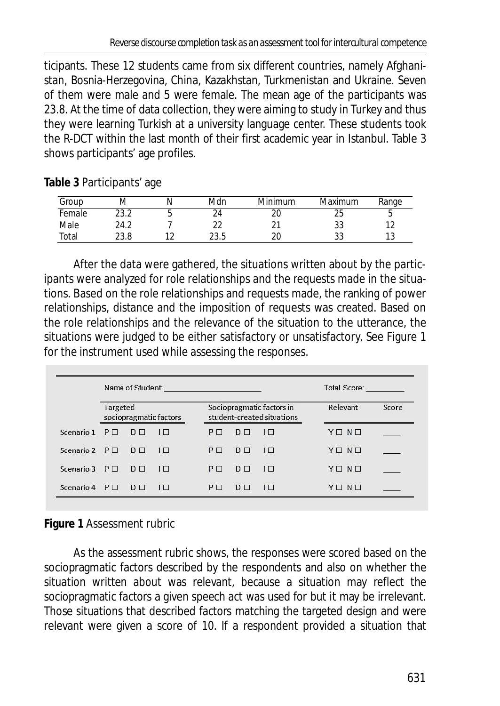ticipants. These 12 students came from six different countries, namely Afghanistan, Bosnia-Herzegovina, China, Kazakhstan, Turkmenistan and Ukraine. Seven of them were male and 5 were female. The mean age of the participants was 23.8. At the time of data collection, they were aiming to study in Turkey and thus they were learning Turkish at a university language center. These students took the R-DCT within the last month of their first academic year in Istanbul. Table 3 shows participants' age profiles.

**Table 3** Participants' age

| Group  | ΙVΙ  | Mdn  | Minimum | Maximum      | Range |
|--------|------|------|---------|--------------|-------|
| Female | 23.2 |      | zu      | $\sim$<br>دے | u     |
| Male   | 24.2 |      |         | აა           | 11    |
| Total  | 23.8 | 23.5 |         | ບປ           | ں ا   |

After the data were gathered, the situations written about by the participants were analyzed for role relationships and the requests made in the situations. Based on the role relationships and requests made, the ranking of power relationships, distance and the imposition of requests was created. Based on the role relationships and the relevance of the situation to the utterance, the situations were judged to be either satisfactory or unsatisfactory. See Figure 1 for the instrument used while assessing the responses.

|                              | Name of Student: Name of Student: |                |                               |                |                |                                                         | Total Score: The Contract of the Contract of The Contract of The Contract of The Contract of The Contract of The Contract of The Contract of The Contract of The Contract of The Contract of The Contract of The Contract of T |       |  |
|------------------------------|-----------------------------------|----------------|-------------------------------|----------------|----------------|---------------------------------------------------------|--------------------------------------------------------------------------------------------------------------------------------------------------------------------------------------------------------------------------------|-------|--|
|                              | Targeted                          |                | sociopragmatic factors        |                |                | Sociopragmatic factors in<br>student-created situations | Relevant                                                                                                                                                                                                                       | Score |  |
| Scenario 1 $P \Box$ $D \Box$ |                                   |                | $1\Box$                       | $P \Box$       | D <sub>D</sub> | $1\Box$                                                 | $Y \square N \square$                                                                                                                                                                                                          |       |  |
| Scenario 2 $P \Box$          |                                   | $\Box$         | $1\Box$                       | $P \Box$       | D <sub>0</sub> | $1\Box$                                                 | $Y \square N \square$                                                                                                                                                                                                          |       |  |
| Scenario 3 $P \Box$          |                                   | $D \Box$       | $\overline{1}$ $\overline{1}$ | P <sub>1</sub> | $D \square$    | $\Box$                                                  | $Y \square N \square$                                                                                                                                                                                                          |       |  |
| Scenario 4 $P \Box$          |                                   | D <sub>D</sub> | $\Box$                        | $P \Box$       | $D \Box$       | $1\Box$                                                 | $Y \square N \square$                                                                                                                                                                                                          |       |  |

**Figure 1** Assessment rubric

As the assessment rubric shows, the responses were scored based on the sociopragmatic factors described by the respondents and also on whether the situation written about was relevant, because a situation may reflect the sociopragmatic factors a given speech act was used for but it may be irrelevant. Those situations that described factors matching the targeted design and were relevant were given a score of 10. If a respondent provided a situation that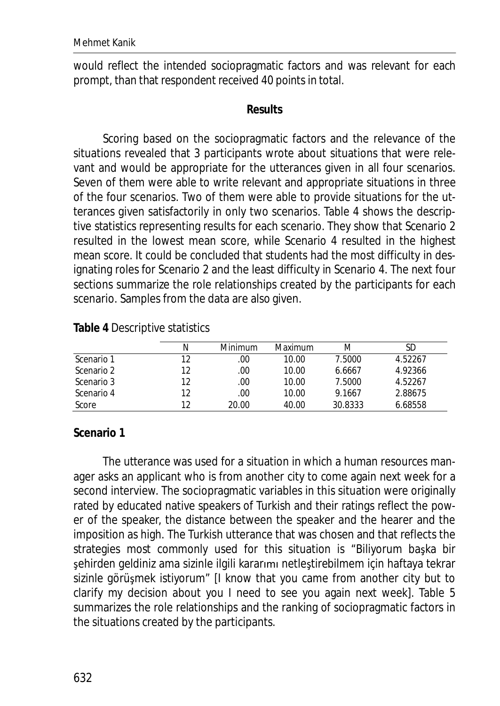would reflect the intended sociopragmatic factors and was relevant for each prompt, than that respondent received 40 points in total.

#### **Results**

Scoring based on the sociopragmatic factors and the relevance of the situations revealed that 3 participants wrote about situations that were relevant and would be appropriate for the utterances given in all four scenarios. Seven of them were able to write relevant and appropriate situations in three of the four scenarios. Two of them were able to provide situations for the utterances given satisfactorily in only two scenarios. Table 4 shows the descriptive statistics representing results for each scenario. They show that Scenario 2 resulted in the lowest mean score, while Scenario 4 resulted in the highest mean score. It could be concluded that students had the most difficulty in designating roles for Scenario 2 and the least difficulty in Scenario 4. The next four sections summarize the role relationships created by the participants for each scenario. Samples from the data are also given.

**Table 4** Descriptive statistics

|            | N  | Minimum | Maximum | M       | SD      |
|------------|----|---------|---------|---------|---------|
| Scenario 1 | 12 | .00     | 10.00   | 7.5000  | 4.52267 |
| Scenario 2 | 12 | .00     | 10.00   | 6.6667  | 4.92366 |
| Scenario 3 | 12 | .00     | 10.00   | 7.5000  | 4.52267 |
| Scenario 4 | 12 | .00     | 10.00   | 9.1667  | 2.88675 |
| Score      | 12 | 20.00   | 40.00   | 30.8333 | 6.68558 |

**Scenario 1** 

The utterance was used for a situation in which a human resources manager asks an applicant who is from another city to come again next week for a second interview. The sociopragmatic variables in this situation were originally rated by educated native speakers of Turkish and their ratings reflect the power of the speaker, the distance between the speaker and the hearer and the imposition as high. The Turkish utterance that was chosen and that reflects the strategies most commonly used for this situation is "Biliyorum başka bir şehirden geldiniz ama sizinle ilgili kararımı netleştirebilmem için haftaya tekrar sizinle görüşmek istiyorum" [I know that you came from another city but to clarify my decision about you I need to see you again next week]. Table 5 summarizes the role relationships and the ranking of sociopragmatic factors in the situations created by the participants.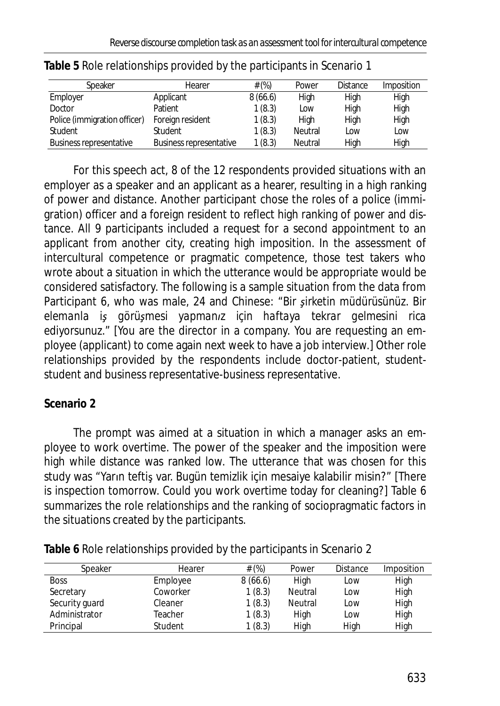| Speaker                        | Hearer                  | # (%)   | Power   | <b>Distance</b> | Imposition |
|--------------------------------|-------------------------|---------|---------|-----------------|------------|
| Employer                       | Applicant               | 8(66.6) | High    | High            | High       |
| Doctor                         | Patient                 | 1(8.3)  | Low     | High            | High       |
| Police (immigration officer)   | Foreign resident        | 1(8.3)  | High    | High            | High       |
| Student                        | Student                 | 1(8.3)  | Neutral | Low             | Low        |
| <b>Business representative</b> | Business representative | 1(8.3)  | Neutral | High            | High       |

For this speech act, 8 of the 12 respondents provided situations with an employer as a speaker and an applicant as a hearer, resulting in a high ranking of power and distance. Another participant chose the roles of a police (immigration) officer and a foreign resident to reflect high ranking of power and distance. All 9 participants included a request for a second appointment to an applicant from another city, creating high imposition. In the assessment of intercultural competence or pragmatic competence, those test takers who wrote about a situation in which the utterance would be appropriate would be considered satisfactory. The following is a sample situation from the data from Participant 6, who was male, 24 and Chinese: "Bir sirketin müdürüsünüz. Bir *elemanla iƔ görüƔmesi yapmanŦz için haftaya tekrar gelmesini rica ediyorsunuz.*" [You are the director in a company. You are requesting an employee (applicant) to come again next week to have a job interview.] Other role relationships provided by the respondents include doctor-patient, studentstudent and business representative-business representative.

## **Scenario 2**

The prompt was aimed at a situation in which a manager asks an employee to work overtime. The power of the speaker and the imposition were high while distance was ranked low. The utterance that was chosen for this study was "Yarın teftiş var. Bugün temizlik için mesaiye kalabilir misin?" [There is inspection tomorrow. Could you work overtime today for cleaning?] Table 6 summarizes the role relationships and the ranking of sociopragmatic factors in the situations created by the participants.

**Table 6** Role relationships provided by the participants in Scenario 2

| Speaker        | Hearer   | # $(\%)$ | Power   | <b>Distance</b> | Imposition |
|----------------|----------|----------|---------|-----------------|------------|
| <b>Boss</b>    | Employee | 8(66.6)  | High    | Low             | High       |
| Secretary      | Coworker | 1(8.3)   | Neutral | LOW             | High       |
| Security guard | Cleaner  | 1(8.3)   | Neutral | Low             | High       |
| Administrator  | Teacher  | 1(8.3)   | High    | Low             | High       |
| Principal      | Student  | 1(8.3)   | High    | High            | High       |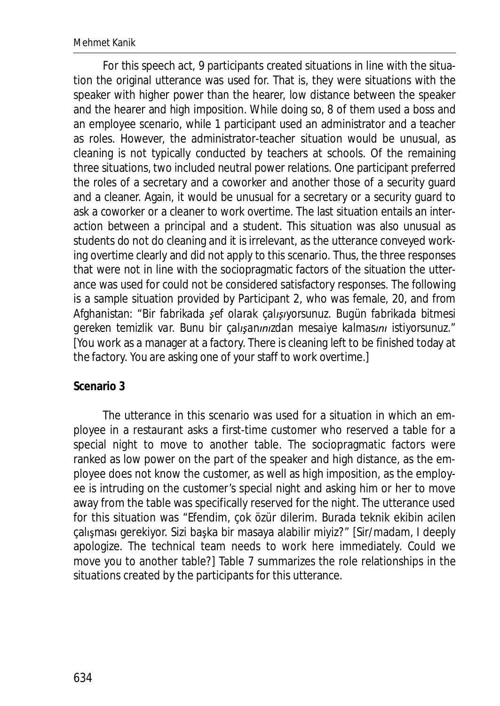For this speech act, 9 participants created situations in line with the situation the original utterance was used for. That is, they were situations with the speaker with higher power than the hearer, low distance between the speaker and the hearer and high imposition. While doing so, 8 of them used a boss and an employee scenario, while 1 participant used an administrator and a teacher as roles. However, the administrator-teacher situation would be unusual, as cleaning is not typically conducted by teachers at schools. Of the remaining three situations, two included neutral power relations. One participant preferred the roles of a secretary and a coworker and another those of a security guard and a cleaner. Again, it would be unusual for a secretary or a security guard to ask a coworker or a cleaner to work overtime. The last situation entails an interaction between a principal and a student. This situation was also unusual as students do not do cleaning and it is irrelevant, as the utterance conveyed working overtime clearly and did not apply to this scenario. Thus, the three responses that were not in line with the sociopragmatic factors of the situation the utterance was used for could not be considered satisfactory responses. The following is a sample situation provided by Participant 2, who was female, 20, and from Afghanistan: "*Bir fabrikada Ɣef olarak çalŦƔŦyorsunuz. Bugün fabrikada bitmesi gereken temizlik var. Bunu bir çalışanınızdan mesaiye kalmasını istiyorsunuz."* [You work as a manager at a factory. There is cleaning left to be finished today at the factory. You are asking one of your staff to work overtime.]

## **Scenario 3**

The utterance in this scenario was used for a situation in which an employee in a restaurant asks a first-time customer who reserved a table for a special night to move to another table. The sociopragmatic factors were ranked as low power on the part of the speaker and high distance, as the employee does not know the customer, as well as high imposition, as the employee is intruding on the customer's special night and asking him or her to move away from the table was specifically reserved for the night. The utterance used for this situation was "Efendim, çok özür dilerim. Burada teknik ekibin acilen çalışması gerekiyor. Sizi başka bir masaya alabilir miyiz?" [Sir/madam, I deeply apologize. The technical team needs to work here immediately. Could we move you to another table?] Table 7 summarizes the role relationships in the situations created by the participants for this utterance.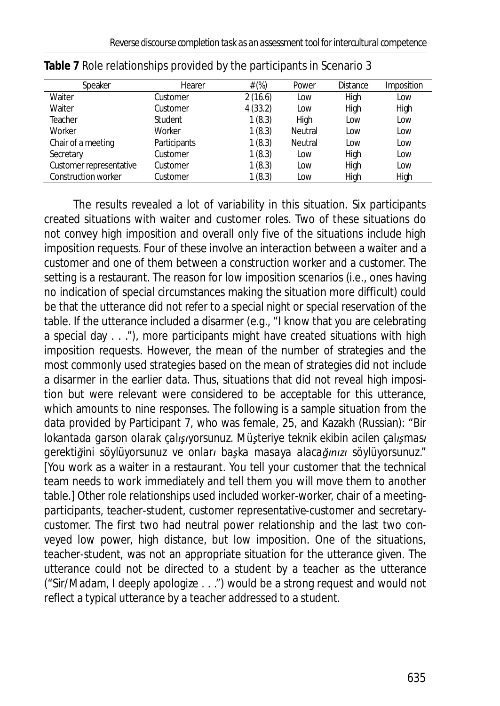| Speaker                    | Hearer         | # $(\%)$ | Power          | <b>Distance</b> | Imposition |
|----------------------------|----------------|----------|----------------|-----------------|------------|
| Waiter                     | Customer       | 2(16.6)  | Low            | High            | Low        |
| Waiter                     | Customer       | 4(33.2)  | Low            | High            | High       |
| Teacher                    | <b>Student</b> | 1(8.3)   | High           | Low             | Low        |
| Worker                     | Worker         | 1(8.3)   | <b>Neutral</b> | Low             | Low        |
| Chair of a meeting         | Participants   | 1(8.3)   | <b>Neutral</b> | Low             | Low        |
| Secretary                  | Customer       | 1(8.3)   | Low            | High            | Low        |
| Customer representative    | Customer       | 1(8.3)   | Low            | High            | Low        |
| <b>Construction worker</b> | Customer       | 1(8.3)   | Low            | High            | High       |

| Table 7 Role relationships provided by the participants in Scenario 3 |  |  |  |  |  |  |  |  |  |
|-----------------------------------------------------------------------|--|--|--|--|--|--|--|--|--|
|-----------------------------------------------------------------------|--|--|--|--|--|--|--|--|--|

The results revealed a lot of variability in this situation. Six participants created situations with waiter and customer roles. Two of these situations do not convey high imposition and overall only five of the situations include high imposition requests. Four of these involve an interaction between a waiter and a customer and one of them between a construction worker and a customer. The setting is a restaurant. The reason for low imposition scenarios (i.e., ones having no indication of special circumstances making the situation more difficult) could be that the utterance did not refer to a special night or special reservation of the table. If the utterance included a disarmer (e.g., "I know that you are celebrating a special day . . ."), more participants might have created situations with high imposition requests. However, the mean of the number of strategies and the most commonly used strategies based on the mean of strategies did not include a disarmer in the earlier data. Thus, situations that did not reveal high imposition but were relevant were considered to be acceptable for this utterance, which amounts to nine responses. The following is a sample situation from the data provided by Participant 7, who was female, 25, and Kazakh (Russian): "*Bir lokantada garson olarak çalışıyorsunuz. Müşteriye teknik ekibin acilen çalışması gerektiŒini söylüyorsunuz ve onlarŦ baƔka masaya alacaŒŦŶŦnjŦ söylüyorsunuz."*  [You work as a waiter in a restaurant. You tell your customer that the technical team needs to work immediately and tell them you will move them to another table.] Other role relationships used included worker-worker, chair of a meetingparticipants, teacher-student, customer representative-customer and secretarycustomer. The first two had neutral power relationship and the last two conveyed low power, high distance, but low imposition. One of the situations, teacher-student, was not an appropriate situation for the utterance given. The utterance could not be directed to a student by a teacher as the utterance ("Sir/Madam, I deeply apologize . . .") would be a strong request and would not reflect a typical utterance by a teacher addressed to a student.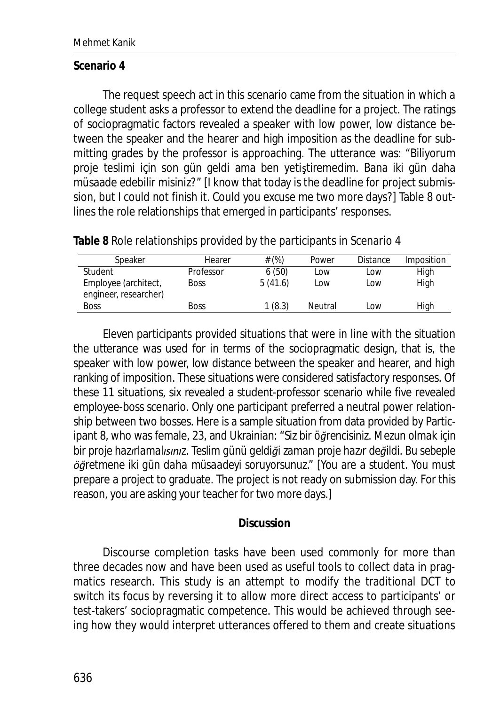#### **Scenario 4**

The request speech act in this scenario came from the situation in which a college student asks a professor to extend the deadline for a project. The ratings of sociopragmatic factors revealed a speaker with low power, low distance between the speaker and the hearer and high imposition as the deadline for submitting grades by the professor is approaching. The utterance was: "Biliyorum proje teslimi için son gün geldi ama ben yetiştiremedim. Bana iki gün daha müsaade edebilir misiniz?" [I know that today is the deadline for project submission, but I could not finish it. Could you excuse me two more days?] Table 8 outlines the role relationships that emerged in participants' responses.

**Table 8** Role relationships provided by the participants in Scenario 4

| Speaker                                       | Hearer      | # (%)   | Power   | <b>Distance</b> | Imposition |
|-----------------------------------------------|-------------|---------|---------|-----------------|------------|
| Student                                       | Professor   | 6(50)   | Low     | Low             | High       |
| Employee (architect,<br>engineer, researcher) | <b>Boss</b> | 5(41.6) | LOW     | LOW             | High       |
| <b>Boss</b>                                   | <b>Boss</b> | 1(8.3)  | Neutral | Low             | High       |

Eleven participants provided situations that were in line with the situation the utterance was used for in terms of the sociopragmatic design, that is, the speaker with low power, low distance between the speaker and hearer, and high ranking of imposition. These situations were considered satisfactory responses. Of these 11 situations, six revealed a student-professor scenario while five revealed employee-boss scenario. Only one participant preferred a neutral power relationship between two bosses. Here is a sample situation from data provided by Participant 8, who was female, 23, and Ukrainian: "Siz bir öğrencisiniz. Mezun olmak için *bir proje hazırlamalısınız. Teslim günü geldiği zaman proje hazır değildi. Bu sebeple ƂŒretmene iki gün daha müsaadeyi soruyorsunuz."* [You are a student. You must prepare a project to graduate. The project is not ready on submission day. For this reason, you are asking your teacher for two more days.]

#### **Discussion**

Discourse completion tasks have been used commonly for more than three decades now and have been used as useful tools to collect data in pragmatics research. This study is an attempt to modify the traditional DCT to switch its focus by reversing it to allow more direct access to participants' or test-takers' sociopragmatic competence. This would be achieved through seeing how they would interpret utterances offered to them and create situations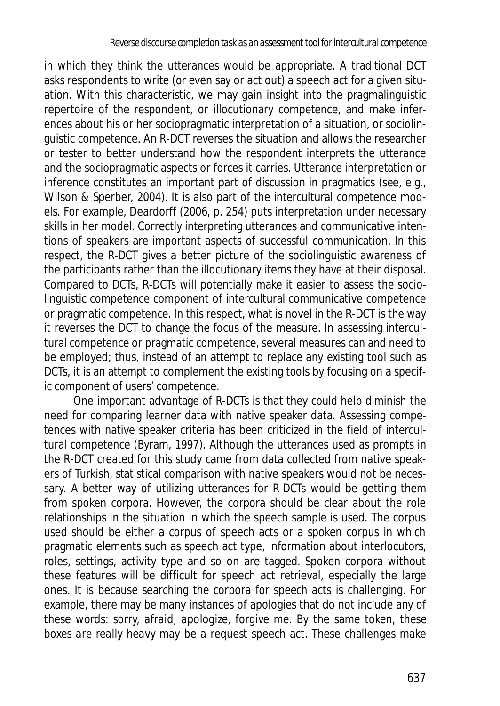in which they think the utterances would be appropriate. A traditional DCT asks respondents to write (or even say or act out) a speech act for a given situation. With this characteristic, we may gain insight into the pragmalinguistic repertoire of the respondent, or illocutionary competence, and make inferences about his or her sociopragmatic interpretation of a situation, or sociolinguistic competence. An R-DCT reverses the situation and allows the researcher or tester to better understand how the respondent interprets the utterance and the sociopragmatic aspects or forces it carries. Utterance interpretation or inference constitutes an important part of discussion in pragmatics (see, e.g., Wilson & Sperber, 2004). It is also part of the intercultural competence models. For example, Deardorff (2006, p. 254) puts interpretation under necessary skills in her model. Correctly interpreting utterances and communicative intentions of speakers are important aspects of successful communication. In this respect, the R-DCT gives a better picture of the sociolinguistic awareness of the participants rather than the illocutionary items they have at their disposal. Compared to DCTs, R-DCTs will potentially make it easier to assess the sociolinguistic competence component of intercultural communicative competence or pragmatic competence. In this respect, what is novel in the R-DCT is the way it reverses the DCT to change the focus of the measure. In assessing intercultural competence or pragmatic competence, several measures can and need to be employed; thus, instead of an attempt to replace any existing tool such as DCTs, it is an attempt to complement the existing tools by focusing on a specific component of users' competence.

One important advantage of R-DCTs is that they could help diminish the need for comparing learner data with native speaker data. Assessing competences with native speaker criteria has been criticized in the field of intercultural competence (Byram, 1997). Although the utterances used as prompts in the R-DCT created for this study came from data collected from native speakers of Turkish, statistical comparison with native speakers would not be necessary. A better way of utilizing utterances for R-DCTs would be getting them from spoken corpora. However, the corpora should be clear about the role relationships in the situation in which the speech sample is used. The corpus used should be either a corpus of speech acts or a spoken corpus in which pragmatic elements such as speech act type, information about interlocutors, roles, settings, activity type and so on are tagged. Spoken corpora without these features will be difficult for speech act retrieval, especially the large ones. It is because searching the corpora for speech acts is challenging. For example, there may be many instances of apologies that do not include any of these words: *sorry, afraid, apologize, forgive me.* By the same token, *these boxes are really heavy* may be a request speech act. These challenges make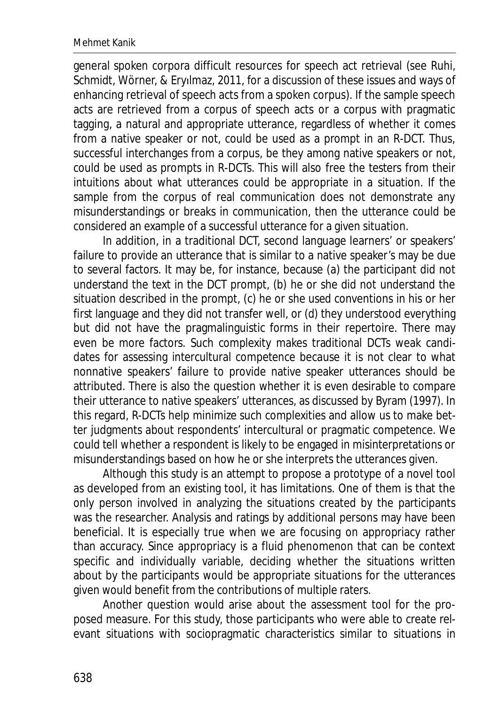general spoken corpora difficult resources for speech act retrieval (see Ruhi, Schmidt, Wörner, & Eryilmaz, 2011, for a discussion of these issues and ways of enhancing retrieval of speech acts from a spoken corpus). If the sample speech acts are retrieved from a corpus of speech acts or a corpus with pragmatic tagging, a natural and appropriate utterance, regardless of whether it comes from a native speaker or not, could be used as a prompt in an R-DCT. Thus, successful interchanges from a corpus, be they among native speakers or not, could be used as prompts in R-DCTs. This will also free the testers from their intuitions about what utterances could be appropriate in a situation. If the sample from the corpus of real communication does not demonstrate any misunderstandings or breaks in communication, then the utterance could be considered an example of a successful utterance for a given situation.

In addition, in a traditional DCT, second language learners' or speakers' failure to provide an utterance that is similar to a native speaker's may be due to several factors. It may be, for instance, because (a) the participant did not understand the text in the DCT prompt, (b) he or she did not understand the situation described in the prompt, (c) he or she used conventions in his or her first language and they did not transfer well, or (d) they understood everything but did not have the pragmalinguistic forms in their repertoire. There may even be more factors. Such complexity makes traditional DCTs weak candidates for assessing intercultural competence because it is not clear to what nonnative speakers' failure to provide native speaker utterances should be attributed. There is also the question whether it is even desirable to compare their utterance to native speakers' utterances, as discussed by Byram (1997). In this regard, R-DCTs help minimize such complexities and allow us to make better judgments about respondents' intercultural or pragmatic competence. We could tell whether a respondent is likely to be engaged in misinterpretations or misunderstandings based on how he or she interprets the utterances given.

Although this study is an attempt to propose a prototype of a novel tool as developed from an existing tool, it has limitations. One of them is that the only person involved in analyzing the situations created by the participants was the researcher. Analysis and ratings by additional persons may have been beneficial. It is especially true when we are focusing on appropriacy rather than accuracy. Since appropriacy is a fluid phenomenon that can be context specific and individually variable, deciding whether the situations written about by the participants would be appropriate situations for the utterances given would benefit from the contributions of multiple raters.

Another question would arise about the assessment tool for the proposed measure. For this study, those participants who were able to create relevant situations with sociopragmatic characteristics similar to situations in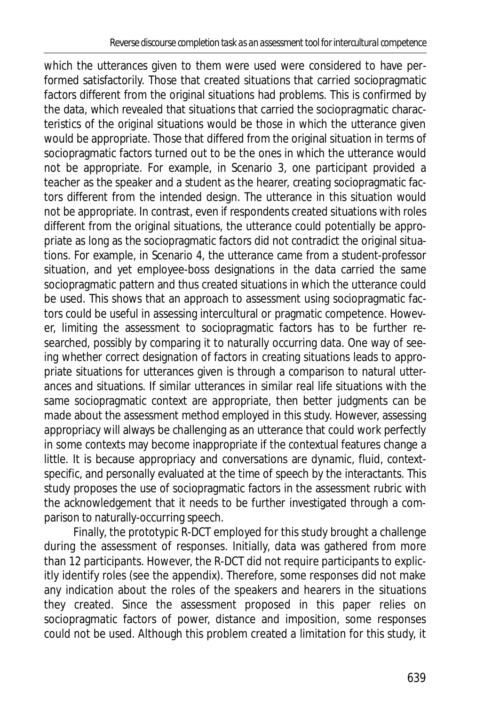which the utterances given to them were used were considered to have performed satisfactorily. Those that created situations that carried sociopragmatic factors different from the original situations had problems. This is confirmed by the data, which revealed that situations that carried the sociopragmatic characteristics of the original situations would be those in which the utterance given would be appropriate. Those that differed from the original situation in terms of sociopragmatic factors turned out to be the ones in which the utterance would not be appropriate. For example, in Scenario 3, one participant provided a teacher as the speaker and a student as the hearer, creating sociopragmatic factors different from the intended design. The utterance in this situation would not be appropriate. In contrast, even if respondents created situations with roles different from the original situations, the utterance could potentially be appropriate as long as the sociopragmatic factors did not contradict the original situations. For example, in Scenario 4, the utterance came from a student-professor situation, and yet employee-boss designations in the data carried the same sociopragmatic pattern and thus created situations in which the utterance could be used. This shows that an approach to assessment using sociopragmatic factors could be useful in assessing intercultural or pragmatic competence. However, limiting the assessment to sociopragmatic factors has to be further researched, possibly by comparing it to naturally occurring data. One way of seeing whether correct designation of factors in creating situations leads to appropriate situations for utterances given is through a comparison to natural utterances and situations. If similar utterances in similar real life situations with the same sociopragmatic context are appropriate, then better judgments can be made about the assessment method employed in this study. However, assessing appropriacy will always be challenging as an utterance that could work perfectly in some contexts may become inappropriate if the contextual features change a little. It is because appropriacy and conversations are dynamic, fluid, contextspecific, and personally evaluated at the time of speech by the interactants. This study proposes the use of sociopragmatic factors in the assessment rubric with the acknowledgement that it needs to be further investigated through a comparison to naturally-occurring speech.

Finally, the prototypic R-DCT employed for this study brought a challenge during the assessment of responses. Initially, data was gathered from more than 12 participants. However, the R-DCT did not require participants to explicitly identify roles (see the appendix). Therefore, some responses did not make any indication about the roles of the speakers and hearers in the situations they created. Since the assessment proposed in this paper relies on sociopragmatic factors of power, distance and imposition, some responses could not be used. Although this problem created a limitation for this study, it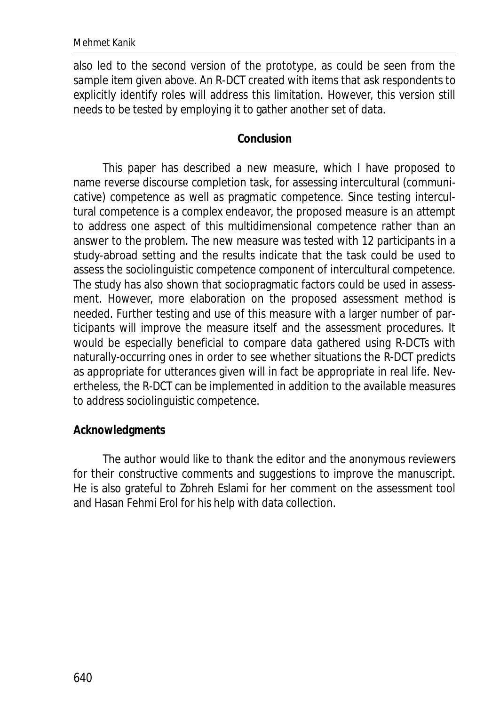also led to the second version of the prototype, as could be seen from the sample item given above. An R-DCT created with items that ask respondents to explicitly identify roles will address this limitation. However, this version still needs to be tested by employing it to gather another set of data.

#### **Conclusion**

This paper has described a new measure, which I have proposed to name reverse discourse completion task, for assessing intercultural (communicative) competence as well as pragmatic competence. Since testing intercultural competence is a complex endeavor, the proposed measure is an attempt to address one aspect of this multidimensional competence rather than an answer to the problem. The new measure was tested with 12 participants in a study-abroad setting and the results indicate that the task could be used to assess the sociolinguistic competence component of intercultural competence. The study has also shown that sociopragmatic factors could be used in assessment. However, more elaboration on the proposed assessment method is needed. Further testing and use of this measure with a larger number of participants will improve the measure itself and the assessment procedures. It would be especially beneficial to compare data gathered using R-DCTs with naturally-occurring ones in order to see whether situations the R-DCT predicts as appropriate for utterances given will in fact be appropriate in real life. Nevertheless, the R-DCT can be implemented in addition to the available measures to address sociolinguistic competence.

#### **Acknowledgments**

The author would like to thank the editor and the anonymous reviewers for their constructive comments and suggestions to improve the manuscript. He is also grateful to Zohreh Eslami for her comment on the assessment tool and Hasan Fehmi Erol for his help with data collection.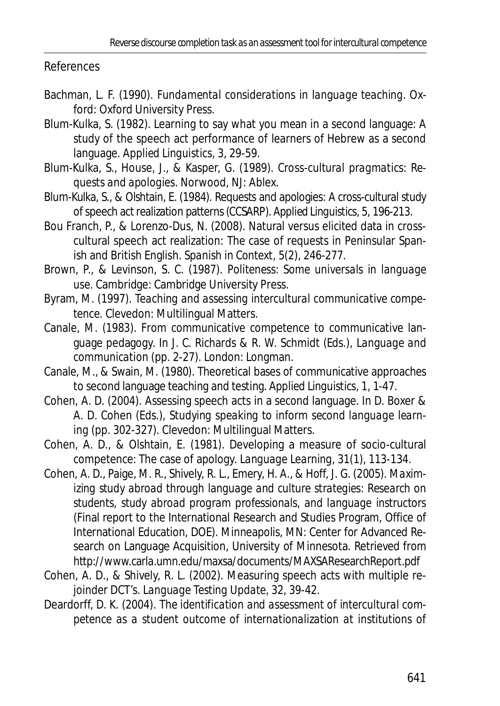#### References

- Bachman, L. F. (1990). *Fundamental considerations in language teaching.* Oxford: Oxford University Press.
- Blum-Kulka, S. (1982). Learning to say what you mean in a second language: A study of the speech act performance of learners of Hebrew as a second language. *Applied Linguistics, 3*, 29-59.
- Blum-Kulka, S., House, J., & Kasper, G. (1989). *Cross-cultural pragmatics: Requests and apologies*. Norwood, NJ: Ablex.
- Blum-Kulka, S., & Olshtain, E. (1984). Requests and apologies: A cross-cultural study of speech act realization patterns (CCSARP). *Applied Linguistics, 5*, 196-213.
- Bou Franch, P., & Lorenzo-Dus, N. (2008). Natural versus elicited data in crosscultural speech act realization: The case of requests in Peninsular Spanish and British English. *Spanish in Context, 5*(2), 246-277.
- Brown, P., & Levinson, S. C. (1987). *Politeness: Some universals in language use.* Cambridge: Cambridge University Press.
- Byram, M. (1997). *Teaching and assessing intercultural communicative competence.* Clevedon: Multilingual Matters.
- Canale, M. (1983). From communicative competence to communicative language pedagogy. In J. C. Richards & R. W. Schmidt (Eds.), *Language and communication* (pp. 2-27)*.* London: Longman.
- Canale, M., & Swain, M. (1980). Theoretical bases of communicative approaches to second language teaching and testing. *Applied Linguistics, 1*, 1-47.
- Cohen, A. D. (2004). Assessing speech acts in a second language. In D. Boxer & A. D. Cohen (Eds.), *Studying speaking to inform second language learning* (pp. 302-327). Clevedon: Multilingual Matters.
- Cohen, A. D., & Olshtain, E. (1981). Developing a measure of socio-cultural competence: The case of apology. *Language Learning, 31*(1), 113-134.
- Cohen, A. D., Paige, M. R., Shively, R. L., Emery, H. A., & Hoff, J. G. (2005). *Maximizing study abroad through language and culture strategies: Research on students, study abroad program professionals, and language instructors* (Final report to the International Research and Studies Program, Office of International Education, DOE). Minneapolis, MN: Center for Advanced Research on Language Acquisition, University of Minnesota. Retrieved from http://www.carla.umn.edu/maxsa/documents/MAXSAResearchReport.pdf
- Cohen, A. D., & Shively, R. L. (2002). Measuring speech acts with multiple rejoinder DCT's. *Language Testing Update, 32*, 39-42.
- Deardorff, D. K. (2004). *The identification and assessment of intercultural competence as a student outcome of internationalization at institutions of*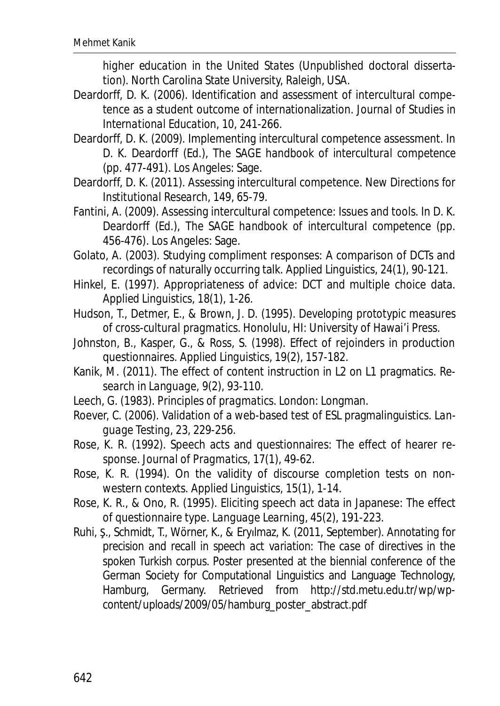*higher education in the United States* (Unpublished doctoral dissertation). North Carolina State University, Raleigh, USA.

- Deardorff, D. K. (2006). Identification and assessment of intercultural competence as a student outcome of internationalization. *Journal of Studies in International Education, 10*, 241-266.
- Deardorff, D. K. (2009). Implementing intercultural competence assessment. In D. K. Deardorff (Ed.), *The SAGE handbook of intercultural competence* (pp. 477-491). Los Angeles: Sage.
- Deardorff, D. K. (2011). Assessing intercultural competence. *New Directions for Institutional Research*, *149*, 65-79.
- Fantini, A. (2009). Assessing intercultural competence: Issues and tools. In D. K. Deardorff (Ed.), *The SAGE handbook of intercultural competence* (pp. 456-476)*.* Los Angeles: Sage.
- Golato, A. (2003). Studying compliment responses: A comparison of DCTs and recordings of naturally occurring talk. *Applied Linguistics, 24*(1), 90-121.
- Hinkel, E. (1997). Appropriateness of advice: DCT and multiple choice data. *Applied Linguistics, 18*(1), 1-26.
- Hudson, T., Detmer, E., & Brown, J. D. (1995). *Developing prototypic measures of cross-cultural pragmatics.* Honolulu, HI: University of Hawai'i Press.
- Johnston, B., Kasper, G., & Ross, S. (1998). Effect of rejoinders in production questionnaires. *Applied Linguistics, 19*(2), 157-182.
- Kanik, M. (2011). The effect of content instruction in L2 on L1 pragmatics. *Research in Language, 9*(2), 93-110.
- Leech, G. (1983). *Principles of pragmatics*. London: Longman.
- Roever, C. (2006). Validation of a web-based test of ESL pragmalinguistics. *Language Testing, 23*, 229-256.
- Rose, K. R. (1992). Speech acts and questionnaires: The effect of hearer response. *Journal of Pragmatics, 17*(1), 49-62.
- Rose, K. R. (1994). On the validity of discourse completion tests on nonwestern contexts. *Applied Linguistics, 15*(1), 1-14.
- Rose, K. R., & Ono, R. (1995). Eliciting speech act data in Japanese: The effect of questionnaire type. *Language Learning, 45*(2), 191-223.
- Ruhi, S., Schmidt, T., Wörner, K., & Eryılmaz, K. (2011, September). *Annotating for precision and recall in speech act variation: The case of directives in the spoken Turkish corpus.* Poster presented at the biennial conference of the German Society for Computational Linguistics and Language Technology, Hamburg, Germany. Retrieved from http://std.metu.edu.tr/wp/wpcontent/uploads/2009/05/hamburg\_poster\_abstract.pdf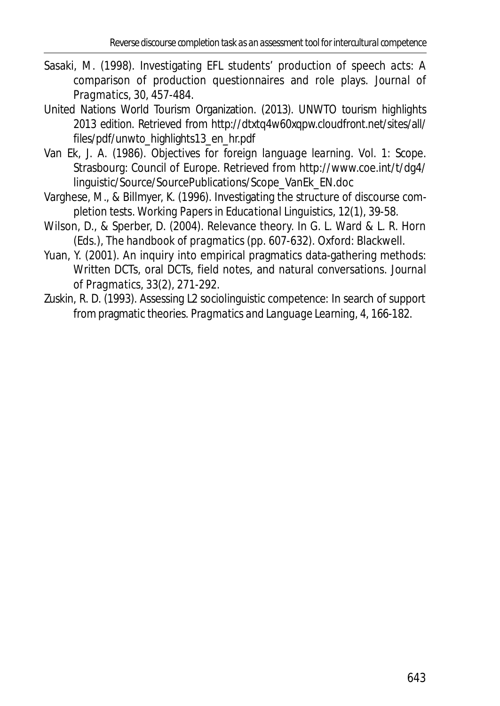- Sasaki, M. (1998). Investigating EFL students' production of speech acts: A comparison of production questionnaires and role plays. *Journal of Pragmatics, 30*, 457-484.
- United Nations World Tourism Organization. (2013). *UNWTO tourism highlights 2013 edition.* Retrieved from http://dtxtq4w60xqpw.cloudfront.net/sites/all/ files/pdf/unwto\_highlights13\_en\_hr.pdf
- Van Ek, J. A. (1986). *Objectives for foreign language learning. Vol. 1: Scope*. Strasbourg: Council of Europe. Retrieved from http://www.coe.int/t/dg4/ linguistic/Source/SourcePublications/Scope\_VanEk\_EN.doc
- Varghese, M., & Billmyer, K. (1996). Investigating the structure of discourse completion tests. *Working Papers in Educational Linguistics*, *12*(1), 39-58.
- Wilson, D., & Sperber, D. (2004). Relevance theory. In G. L. Ward & L. R. Horn (Eds.), *The handbook of pragmatics* (pp. 607-632)*.* Oxford: Blackwell.
- Yuan, Y. (2001). An inquiry into empirical pragmatics data-gathering methods: Written DCTs, oral DCTs, field notes, and natural conversations. *Journal of Pragmatics, 33*(2), 271-292.
- Zuskin, R. D. (1993). Assessing L2 sociolinguistic competence: In search of support from pragmatic theories. *Pragmatics and Language Learning, 4*, 166-182.